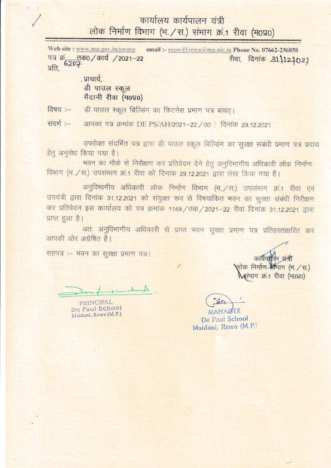## कार्यालय कार्यपालन यंत्री लोक निर्माण विभाग (भ. / स.) संभाग क्रं.1 रीवा (म0प्र0)

Web site : www.mp.gov.in/pwmp email :- cepwd1rewa@mp.nic.in Phone No. 07662-256858 पत्र क्रंट्र्रातक0 / कार्य / 2021-22<br>प्रति, रीवा, दिनांक 31,12402)

> प्राचार्य. डी पाउल स्कूल मैदानी रीवा (म0प्र0)

डी पाउल स्कूल बिल्डिंग का फिटनेस प्रमाण पत्र बावत् । विषय :-

संदर्भ :-आपका पत्र क्रमांक DE PS/AH/2021-22 / 00: दिनांक 29.12.2021

उपरोक्त संदर्भित पत्र द्वारा डी पाउल स्कूल बिल्डिंग का सुरक्षा संबंधी प्रमाण पत्र प्रदाय हेतू अनुरोध किया गया है।

भवन का मौके से निरीक्षण कर प्रतिवेदन देने हेतु अनुविभागीय अधिकारी लोक निर्माण विभाग (भ. / स.) उपसंभाग क्रं.1 रीवा को दिनांक 29.12.2021 द्वारा लेख किया गया है।

अनुविभागीय अधिकारी लोक निर्माण विभाग (भ. / स.) उपसंमाग क्रं.1 रीवा एवं उपयंत्री द्वारा दिनांक 31.12.2021 को संयुक्त रूप से विषयांकित भवन का सुरक्षा संबंधी निरीक्षण कर प्रतिवेदन इस कार्यालय को पत्र क्रमांक 1149 / तक / 2021–22 रीवा दिनांक 31.12.2021 द्वारा प्राप्त हुआ है।

अतः अनुविभागीय अधिकारी से प्राप्त भवन सुरक्षा प्रमाण पत्र प्रतिहस्ताक्षरित कर आपकी ओर अंग्रेषित है।

सहपत्र :- भवन का सुरक्षा प्रमाण पत्र।

PRINCIPAL De Paul School Maidani, Rewa (M.P.)

कार्यपा लोक निर्माण सिमाग (भ. / स.) सामाग क्र.1 रीवा (म0प्र0)

MANAGER

De Paul School Maidani, Rewa (M.P.)